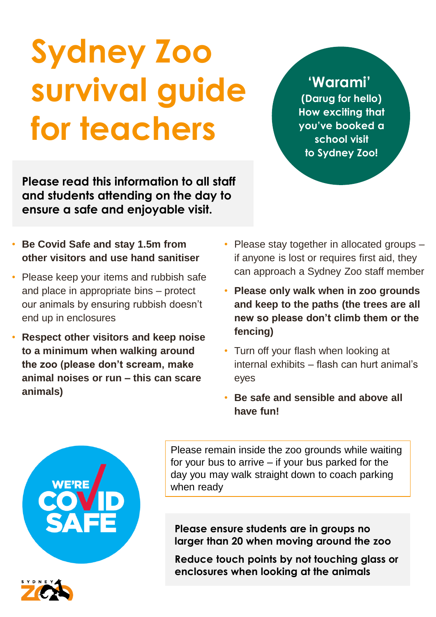## **Sydney Zoo survival guide for teachers**

**Please read this information to all staff and students attending on the day to ensure a safe and enjoyable visit.**

- **Be Covid Safe and stay 1.5m from other visitors and use hand sanitiser**
- Please keep your items and rubbish safe and place in appropriate bins – protect our animals by ensuring rubbish doesn't end up in enclosures
- **Respect other visitors and keep noise to a minimum when walking around the zoo (please don't scream, make animal noises or run – this can scare animals)**
- Please stay together in allocated groups if anyone is lost or requires first aid, they can approach a Sydney Zoo staff member
- **Please only walk when in zoo grounds and keep to the paths (the trees are all new so please don't climb them or the fencing)**
- Turn off your flash when looking at internal exhibits – flash can hurt animal's eyes
- **Be safe and sensible and above all have fun!**

Please remain inside the zoo grounds while waiting for your bus to arrive – if your bus parked for the day you may walk straight down to coach parking when ready

**Please ensure students are in groups no larger than 20 when moving around the zoo**

**Reduce touch points by not touching glass or enclosures when looking at the animals**



**'Warami' (Darug for hello)** 

**How exciting that you've booked a school visit to Sydney Zoo!**